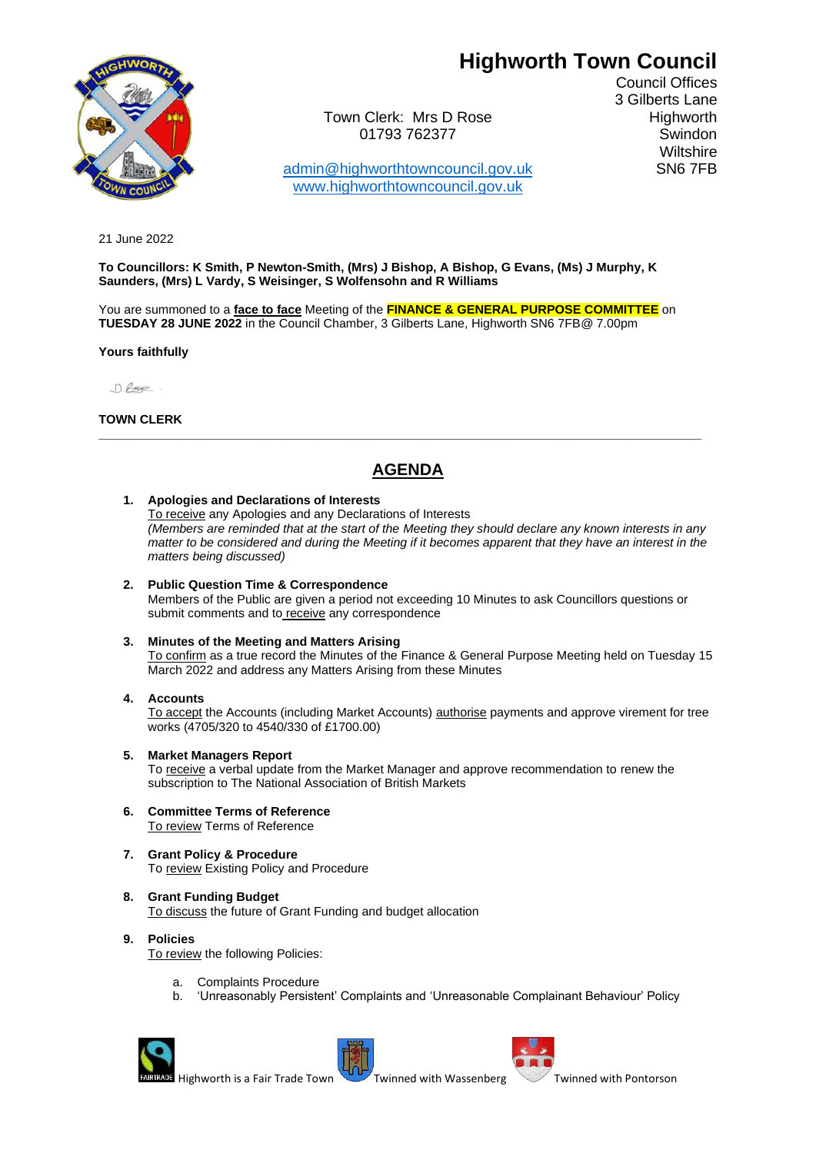# **Highworth Town Council**



Town Clerk: Mrs D Rose Highworth 01793 762377 Swindon

[admin@highworthtowncouncil.gov.uk](mailto:admin@highworthtowncouncil.gov.uk) SN6 7FB [www.highworthtowncouncil.gov.uk](http://www.highworthtowncouncil.gov.uk/)

Council Offices 3 Gilberts Lane **Wiltshire** 

21 June 2022

**To Councillors: K Smith, P Newton-Smith, (Mrs) J Bishop, A Bishop, G Evans, (Ms) J Murphy, K Saunders, (Mrs) L Vardy, S Weisinger, S Wolfensohn and R Williams**

You are summoned to a **face to face** Meeting of the **FINANCE & GENERAL PURPOSE COMMITTEE** on **TUESDAY 28 JUNE 2022** in the Council Chamber, 3 Gilberts Lane, Highworth SN6 7FB@ 7.00pm

### **Yours faithfully**

 $0.65e$ .

**TOWN CLERK**

## **AGENDA**

**\_\_\_\_\_\_\_\_\_\_\_\_\_\_\_\_\_\_\_\_\_\_\_\_\_\_\_\_\_\_\_\_\_\_\_\_\_\_\_\_\_\_\_\_\_\_\_\_\_\_\_\_\_\_\_\_\_\_\_\_\_\_\_\_\_\_\_\_\_\_\_\_\_\_\_\_\_\_\_\_\_\_\_\_\_\_\_\_**

### **1. Apologies and Declarations of Interests**

To receive any Apologies and any Declarations of Interests *(Members are reminded that at the start of the Meeting they should declare any known interests in any matter to be considered and during the Meeting if it becomes apparent that they have an interest in the matters being discussed)*

**2. Public Question Time & Correspondence** Members of the Public are given a period not exceeding 10 Minutes to ask Councillors questions or submit comments and to receive any correspondence

#### **3. Minutes of the Meeting and Matters Arising** To confirm as a true record the Minutes of the Finance & General Purpose Meeting held on Tuesday 15 March 2022 and address any Matters Arising from these Minutes

**4. Accounts**

To accept the Accounts (including Market Accounts) authorise payments and approve virement for tree works (4705/320 to 4540/330 of £1700.00)

**5. Market Managers Report**

To receive a verbal update from the Market Manager and approve recommendation to renew the subscription to The National Association of British Markets

- **6. Committee Terms of Reference** To review Terms of Reference
- **7. Grant Policy & Procedure** To review Existing Policy and Procedure
- **8. Grant Funding Budget** To discuss the future of Grant Funding and budget allocation
- **9. Policies**  To review the following Policies:
	- a. Complaints Procedure
	- b. 'Unreasonably Persistent' Complaints and 'Unreasonable Complainant Behaviour' Policy





Highworth is a Fair [T](http://en.wikipedia.org/wiki/File:Blason_ville_fr_Pontorson_(Manche).svg)rade Town Twinned with Wassenberg Twinned with Pontorson